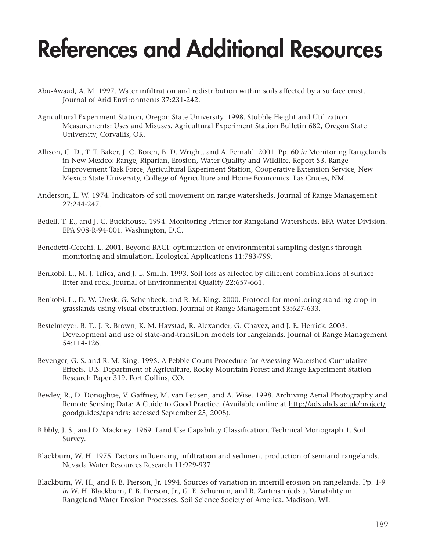## **References and Additional Resources**

- Abu-Awaad, A. M. 1997. Water infiltration and redistribution within soils affected by a surface crust. Journal of Arid Environments 37:231-242.
- Agricultural Experiment Station, Oregon State University. 1998. Stubble Height and Utilization Measurements: Uses and Misuses. Agricultural Experiment Station Bulletin 682, Oregon State University, Corvallis, OR.
- Allison, C. D., T. T. Baker, J. C. Boren, B. D. Wright, and A. Fernald. 2001. Pp. 60 *in* Monitoring Rangelands in New Mexico: Range, Riparian, Erosion, Water Quality and Wildlife, Report 53. Range Improvement Task Force, Agricultural Experiment Station, Cooperative Extension Service, New Mexico State University, College of Agriculture and Home Economics. Las Cruces, NM.
- Anderson, E. W. 1974. Indicators of soil movement on range watersheds. Journal of Range Management 27:244-247.
- Bedell, T. E., and J. C. Buckhouse. 1994. Monitoring Primer for Rangeland Watersheds. EPA Water Division. EPA 908-R-94-001. Washington, D.C.
- Benedetti-Cecchi, L. 2001. Beyond BACI: optimization of environmental sampling designs through monitoring and simulation. Ecological Applications 11:783-799.
- Benkobi, L., M. J. Trlica, and J. L. Smith. 1993. Soil loss as affected by different combinations of surface litter and rock. Journal of Environmental Quality 22:657-661.
- Benkobi, L., D. W. Uresk, G. Schenbeck, and R. M. King. 2000. Protocol for monitoring standing crop in grasslands using visual obstruction. Journal of Range Management 53:627-633.
- Bestelmeyer, B. T., J. R. Brown, K. M. Havstad, R. Alexander, G. Chavez, and J. E. Herrick. 2003. Development and use of state-and-transition models for rangelands. Journal of Range Management 54:114-126.
- Bevenger, G. S. and R. M. King. 1995. A Pebble Count Procedure for Assessing Watershed Cumulative Effects. U.S. Department of Agriculture, Rocky Mountain Forest and Range Experiment Station Research Paper 319. Fort Collins, CO.
- Bewley, R., D. Donoghue, V. Gaffney, M. van Leusen, and A. Wise. 1998. Archiving Aerial Photography and Remote Sensing Data: A Guide to Good Practice. (Available online at http://ads.ahds.ac.uk/project/ goodguides/apandrs; accessed September 25, 2008).
- Bibbly, J. S., and D. Mackney. 1969. Land Use Capability Classification. Technical Monograph 1. Soil Survey.
- Blackburn, W. H. 1975. Factors influencing infiltration and sediment production of semiarid rangelands. Nevada Water Resources Research 11:929-937.
- Blackburn, W. H., and F. B. Pierson, Jr. 1994. Sources of variation in interrill erosion on rangelands. Pp. 1-9 *in* W. H. Blackburn, F. B. Pierson, Jr., G. E. Schuman, and R. Zartman (eds.), Variability in Rangeland Water Erosion Processes. Soil Science Society of America. Madison, WI.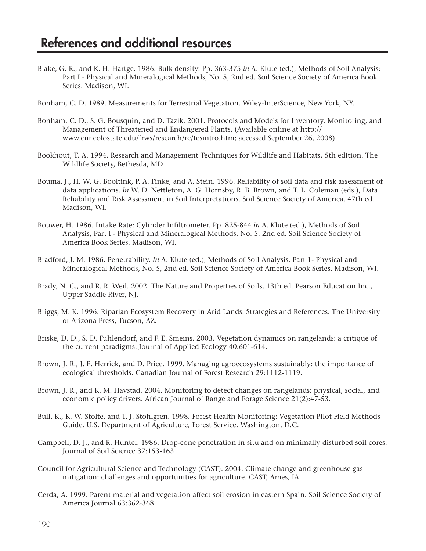- Blake, G. R., and K. H. Hartge. 1986. Bulk density. Pp. 363-375 *in* A. Klute (ed.), Methods of Soil Analysis: Part I - Physical and Mineralogical Methods, No. 5, 2nd ed. Soil Science Society of America Book Series. Madison, WI.
- Bonham, C. D. 1989. Measurements for Terrestrial Vegetation. Wiley-InterScience, New York, NY.
- Bonham, C. D., S. G. Bousquin, and D. Tazik. 2001. Protocols and Models for Inventory, Monitoring, and Management of Threatened and Endangered Plants. (Available online at http:// www.cnr.colostate.edu/frws/research/rc/tesintro.htm; accessed September 26, 2008).
- Bookhout, T. A. 1994. Research and Management Techniques for Wildlife and Habitats, 5th edition. The Wildlife Society, Bethesda, MD.
- Bouma, J., H. W. G. Booltink, P. A. Finke, and A. Stein. 1996. Reliability of soil data and risk assessment of data applications. *In* W. D. Nettleton, A. G. Hornsby, R. B. Brown, and T. L. Coleman (eds.), Data Reliability and Risk Assessment in Soil Interpretations. Soil Science Society of America, 47th ed. Madison, WI.
- Bouwer, H. 1986. Intake Rate: Cylinder Infiltrometer. Pp. 825-844 *in* A. Klute (ed.), Methods of Soil Analysis, Part I - Physical and Mineralogical Methods, No. 5, 2nd ed. Soil Science Society of America Book Series. Madison, WI.
- Bradford, J. M. 1986. Penetrability. *In* A. Klute (ed.), Methods of Soil Analysis, Part 1- Physical and Mineralogical Methods, No. 5, 2nd ed. Soil Science Society of America Book Series. Madison, WI.
- Brady, N. C., and R. R. Weil. 2002. The Nature and Properties of Soils, 13th ed. Pearson Education Inc., Upper Saddle River, NJ.
- Briggs, M. K. 1996. Riparian Ecosystem Recovery in Arid Lands: Strategies and References. The University of Arizona Press, Tucson, AZ.
- Briske, D. D., S. D. Fuhlendorf, and F. E. Smeins. 2003. Vegetation dynamics on rangelands: a critique of the current paradigms. Journal of Applied Ecology 40:601-614.
- Brown, J. R., J. E. Herrick, and D. Price. 1999. Managing agroecosystems sustainably: the importance of ecological thresholds. Canadian Journal of Forest Research 29:1112-1119.
- Brown, J. R., and K. M. Havstad. 2004. Monitoring to detect changes on rangelands: physical, social, and economic policy drivers. African Journal of Range and Forage Science 21(2):47-53.
- Bull, K., K. W. Stolte, and T. J. Stohlgren. 1998. Forest Health Monitoring: Vegetation Pilot Field Methods Guide. U.S. Department of Agriculture, Forest Service. Washington, D.C.
- Campbell, D. J., and R. Hunter. 1986. Drop-cone penetration in situ and on minimally disturbed soil cores. Journal of Soil Science 37:153-163.
- Council for Agricultural Science and Technology (CAST). 2004. Climate change and greenhouse gas mitigation: challenges and opportunities for agriculture. CAST, Ames, IA.
- Cerda, A. 1999. Parent material and vegetation affect soil erosion in eastern Spain. Soil Science Society of America Journal 63:362-368.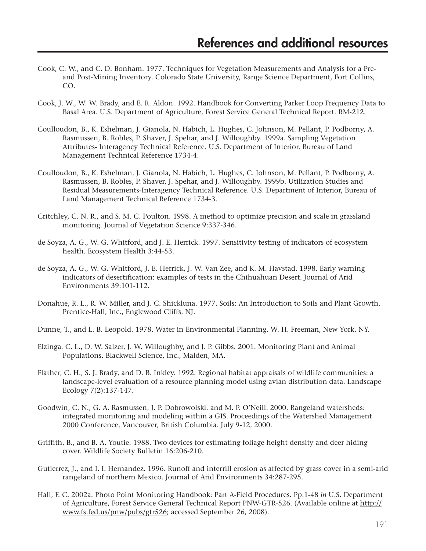- Cook, C. W., and C. D. Bonham. 1977. Techniques for Vegetation Measurements and Analysis for a Preand Post-Mining Inventory. Colorado State University, Range Science Department, Fort Collins, CO.
- Cook, J. W., W. W. Brady, and E. R. Aldon. 1992. Handbook for Converting Parker Loop Frequency Data to Basal Area. U.S. Department of Agriculture, Forest Service General Technical Report. RM-212.
- Coulloudon, B., K. Eshelman, J. Gianola, N. Habich, L. Hughes, C. Johnson, M. Pellant, P. Podborny, A. Rasmussen, B. Robles, P. Shaver, J. Spehar, and J. Willoughby. 1999a. Sampling Vegetation Attributes- Interagency Technical Reference. U.S. Department of Interior, Bureau of Land Management Technical Reference 1734-4.
- Coulloudon, B., K. Eshelman, J. Gianola, N. Habich, L. Hughes, C. Johnson, M. Pellant, P. Podborny, A. Rasmussen, B. Robles, P. Shaver, J. Spehar, and J. Willoughby. 1999b. Utilization Studies and Residual Measurements-Interagency Technical Reference. U.S. Department of Interior, Bureau of Land Management Technical Reference 1734-3.
- Critchley, C. N. R., and S. M. C. Poulton. 1998. A method to optimize precision and scale in grassland monitoring. Journal of Vegetation Science 9:337-346.
- de Soyza, A. G., W. G. Whitford, and J. E. Herrick. 1997. Sensitivity testing of indicators of ecosystem health. Ecosystem Health 3:44-53.
- de Soyza, A. G., W. G. Whitford, J. E. Herrick, J. W. Van Zee, and K. M. Havstad. 1998. Early warning indicators of desertification: examples of tests in the Chihuahuan Desert. Journal of Arid Environments 39:101-112.
- Donahue, R. L., R. W. Miller, and J. C. Shickluna. 1977. Soils: An Introduction to Soils and Plant Growth. Prentice-Hall, Inc., Englewood Cliffs, NJ.
- Dunne, T., and L. B. Leopold. 1978. Water in Environmental Planning. W. H. Freeman, New York, NY.
- Elzinga, C. L., D. W. Salzer, J. W. Willoughby, and J. P. Gibbs. 2001. Monitoring Plant and Animal Populations. Blackwell Science, Inc., Malden, MA.
- Flather, C. H., S. J. Brady, and D. B. Inkley. 1992. Regional habitat appraisals of wildlife communities: a landscape-level evaluation of a resource planning model using avian distribution data. Landscape Ecology 7(2):137-147.
- Goodwin, C. N., G. A. Rasmussen, J. P. Dobrowolski, and M. P. O'Neill. 2000. Rangeland watersheds: integrated monitoring and modeling within a GIS. Proceedings of the Watershed Management 2000 Conference, Vancouver, British Columbia. July 9-12, 2000.
- Griffith, B., and B. A. Youtie. 1988. Two devices for estimating foliage height density and deer hiding cover. Wildlife Society Bulletin 16:206-210.
- Gutierrez, J., and I. I. Hernandez. 1996. Runoff and interrill erosion as affected by grass cover in a semi-arid rangeland of northern Mexico. Journal of Arid Environments 34:287-295.
- Hall, F. C. 2002a. Photo Point Monitoring Handbook: Part A-Field Procedures. Pp.1-48 *in* U.S. Department of Agriculture, Forest Service General Technical Report PNW-GTR-526. (Available online at http:// www.fs.fed.us/pnw/pubs/gtr526; accessed September 26, 2008).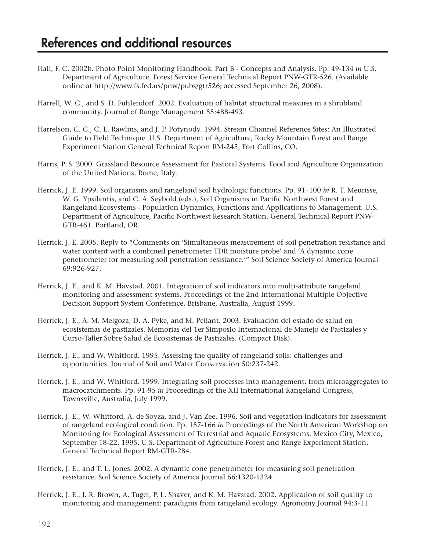- Hall, F. C. 2002b. Photo Point Monitoring Handbook: Part B Concepts and Analysis. Pp. 49-134 *in* U.S. Department of Agriculture, Forest Service General Technical Report PNW-GTR-526. (Available online at http://www.fs.fed.us/pnw/pubs/gtr526; accessed September 26, 2008).
- Harrell, W. C., and S. D. Fuhlendorf. 2002. Evaluation of habitat structural measures in a shrubland community. Journal of Range Management 55:488-493.
- Harrelson, C. C., C. L. Rawlins, and J. P. Potynody. 1994. Stream Channel Reference Sites: An Illustrated Guide to Field Technique. U.S. Department of Agriculture, Rocky Mountain Forest and Range Experiment Station General Technical Report RM-245, Fort Collins, CO.
- Harris, P. S. 2000. Grassland Resource Assessment for Pastoral Systems. Food and Agriculture Organization of the United Nations, Rome, Italy.
- Herrick, J. E. 1999. Soil organisms and rangeland soil hydrologic functions. Pp. 91–100 *in* R. T. Meurisse, W. G. Ypsilantis, and C. A. Seybold (eds.), Soil Organisms in Pacific Northwest Forest and Rangeland Ecosystems - Population Dynamics, Functions and Applications to Management. U.S. Department of Agriculture, Pacific Northwest Research Station, General Technical Report PNW-GTR-461. Portland, OR.
- Herrick, J. E. 2005. Reply to "Comments on 'Simultaneous measurement of soil penetration resistance and water content with a combined penetrometer TDR moisture probe' and 'A dynamic cone penetrometer for measuring soil penetration resistance.'" Soil Science Society of America Journal 69:926-927.
- Herrick, J. E., and K. M. Havstad. 2001. Integration of soil indicators into multi-attribute rangeland monitoring and assessment systems. Proceedings of the 2nd International Multiple Objective Decision Support System Conference, Brisbane, Australia, August 1999.
- Herrick, J. E., A. M. Melgoza, D. A. Pyke, and M. Pellant. 2003. Evaluación del estado de salud en ecosistemas de pastizales. Memorias del 1er Simposio Internacional de Manejo de Pastizales y Curso-Taller Sobre Salud de Ecosistemas de Pastizales. (Compact Disk).
- Herrick, J. E., and W. Whitford. 1995. Assessing the quality of rangeland soils: challenges and opportunities. Journal of Soil and Water Conservation 50:237-242.
- Herrick, J. E., and W. Whitford. 1999. Integrating soil processes into management: from microaggregates to macrocatchments. Pp. 91-95 *in* Proceedings of the XII International Rangeland Congress, Townsville, Australia, July 1999.
- Herrick, J. E., W. Whitford, A. de Soyza, and J. Van Zee. 1996. Soil and vegetation indicators for assessment of rangeland ecological condition. Pp. 157-166 *in* Proceedings of the North American Workshop on Monitoring for Ecological Assessment of Terrestrial and Aquatic Ecosystems, Mexico City, Mexico, September 18-22, 1995. U.S. Department of Agriculture Forest and Range Experiment Station, General Technical Report RM-GTR-284.
- Herrick, J. E., and T. L. Jones. 2002. A dynamic cone penetrometer for measuring soil penetration resistance. Soil Science Society of America Journal 66:1320-1324.
- Herrick, J. E., J. R. Brown, A. Tugel, P. L. Shaver, and K. M. Havstad. 2002. Application of soil quality to monitoring and management: paradigms from rangeland ecology. Agronomy Journal 94:3-11.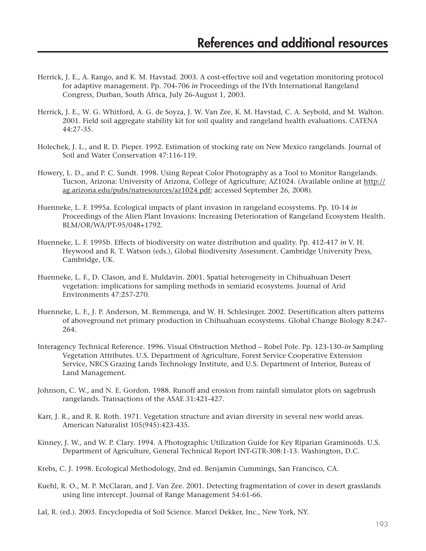- Herrick, J. E., A. Rango, and K. M. Havstad. 2003. A cost-effective soil and vegetation monitoring protocol for adaptive management. Pp. 704-706 *in* Proceedings of the IVth International Rangeland Congress, Durban, South Africa, July 26-August 1, 2003.
- Herrick, J. E., W. G. Whitford, A. G. de Soyza, J. W. Van Zee, K. M. Havstad, C. A. Seybold, and M. Walton. 2001. Field soil aggregate stability kit for soil quality and rangeland health evaluations. CATENA 44:27-35.
- Holechek, J. L., and R. D. Pieper. 1992. Estimation of stocking rate on New Mexico rangelands. Journal of Soil and Water Conservation 47:116-119.
- Howery, L. D., and P. C. Sundt. 1998. Using Repeat Color Photography as a Tool to Monitor Rangelands. Tucson, Arizona: University of Arizona, College of Agriculture; AZ1024. (Available online at http:// ag.arizona.edu/pubs/natresources/az1024.pdf; accessed September 26, 2008).
- Huenneke, L. F. 1995a. Ecological impacts of plant invasion in rangeland ecosystems. Pp. 10-14 *in* Proceedings of the Alien Plant Invasions: Increasing Deterioration of Rangeland Ecosystem Health. BLM/OR/WA/PT-95/048+1792.
- Huenneke, L. F. 1995b. Effects of biodiversity on water distribution and quality. Pp. 412-417 *in* V. H. Heywood and R. T. Watson (eds.), Global Biodiversity Assessment. Cambridge University Press, Cambridge, UK.
- Huenneke, L. F., D. Clason, and E. Muldavin. 2001. Spatial heterogeneity in Chihuahuan Desert vegetation: implications for sampling methods in semiarid ecosystems. Journal of Arid Environments 47:257-270.
- Huenneke, L. F., J. P. Anderson, M. Remmenga, and W. H. Schlesinger. 2002. Desertification alters patterns of aboveground net primary production in Chihuahuan ecosystems. Global Change Biology 8:247- 264.
- Interagency Technical Reference. 1996. Visual Obstruction Method Robel Pole. Pp. 123-130–*in* Sampling Vegetation Attributes. U.S. Department of Agriculture, Forest Service Cooperative Extension Service, NRCS Grazing Lands Technology Institute, and U.S. Department of Interior, Bureau of Land Management.
- Johnson, C. W., and N. E. Gordon. 1988. Runoff and erosion from rainfall simulator plots on sagebrush rangelands. Transactions of the ASAE 31:421-427.
- Karr, J. R., and R. R. Roth. 1971. Vegetation structure and avian diversity in several new world areas. American Naturalist 105(945):423-435.
- Kinney, J. W., and W. P. Clary. 1994. A Photographic Utilization Guide for Key Riparian Graminoids. U.S. Department of Agriculture, General Technical Report INT-GTR-308:1-13. Washington, D.C.
- Krebs, C. J. 1998. Ecological Methodology, 2nd ed. Benjamin Cummings, San Francisco, CA.
- Kuehl, R. O., M. P. McClaran, and J. Van Zee. 2001. Detecting fragmentation of cover in desert grasslands using line intercept. Journal of Range Management 54:61-66.
- Lal, R. (ed.). 2003. Encyclopedia of Soil Science. Marcel Dekker, Inc., New York, NY.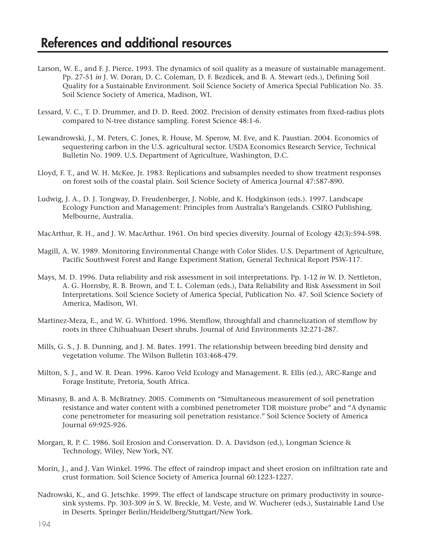- Larson, W. E., and F. J. Pierce. 1993. The dynamics of soil quality as a measure of sustainable management. Pp. 27-51 *in* J. W. Doran, D. C. Coleman, D. F. Bezdicek, and B. A. Stewart (eds.), Defining Soil Quality for a Sustainable Environment. Soil Science Society of America Special Publication No. 35. Soil Science Society of America, Madison, WI.
- Lessard, V. C., T. D. Drummer, and D. D. Reed. 2002. Precision of density estimates from fixed-radius plots compared to N-tree distance sampling. Forest Science 48:1-6.
- Lewandrowski, J., M. Peters, C. Jones, R. House, M. Sperow, M. Eve, and K. Paustian. 2004. Economics of sequestering carbon in the U.S. agricultural sector. USDA Economics Research Service, Technical Bulletin No. 1909. U.S. Department of Agriculture, Washington, D.C.
- Lloyd, F. T., and W. H. McKee, Jr. 1983. Replications and subsamples needed to show treatment responses on forest soils of the coastal plain. Soil Science Society of America Journal 47:587-890.
- Ludwig, J. A., D. J. Tongway, D. Freudenberger, J. Noble, and K. Hodgkinson (eds.). 1997. Landscape Ecology Function and Management: Principles from Australia's Rangelands. CSIRO Publishing, Melbourne, Australia.
- MacArthur, R. H., and J. W. MacArthur. 1961. On bird species diversity. Journal of Ecology 42(3):594-598.
- Magill, A. W. 1989. Monitoring Environmental Change with Color Slides. U.S. Department of Agriculture, Pacific Southwest Forest and Range Experiment Station, General Technical Report PSW-117.
- Mays, M. D. 1996. Data reliability and risk assessment in soil interpretations. Pp. 1-12 *in* W. D. Nettleton, A. G. Hornsby, R. B. Brown, and T. L. Coleman (eds.), Data Reliability and Risk Assessment in Soil Interpretations. Soil Science Society of America Special, Publication No. 47. Soil Science Society of America, Madison, WI.
- Martinez-Meza, E., and W. G. Whitford. 1996. Stemflow, throughfall and channelization of stemflow by roots in three Chihuahuan Desert shrubs. Journal of Arid Environments 32:271-287.
- Mills, G. S., J. B. Dunning, and J. M. Bates. 1991. The relationship between breeding bird density and vegetation volume. The Wilson Bulletin 103:468-479.
- Milton, S. J., and W. R. Dean. 1996. Karoo Veld Ecology and Management. R. Ellis (ed.), ARC-Range and Forage Institute, Pretoria, South Africa.
- Minasny, B. and A. B. McBratney. 2005. Comments on "Simultaneous measurement of soil penetration resistance and water content with a combined penetrometer TDR moisture probe" and "A dynamic cone penetrometer for measuring soil penetration resistance." Soil Science Society of America Journal 69:925-926.
- Morgan, R. P. C. 1986. Soil Erosion and Conservation. D. A. Davidson (ed.), Longman Science & Technology, Wiley, New York, NY.
- Morin, J., and J. Van Winkel. 1996. The effect of raindrop impact and sheet erosion on infiltration rate and crust formation. Soil Science Society of America Journal 60:1223-1227.
- Nadrowski, K., and G. Jetschke. 1999. The effect of landscape structure on primary productivity in sourcesink systems. Pp. 303-309 *in* S. W. Breckle, M. Veste, and W. Wucherer (eds.), Sustainable Land Use in Deserts. Springer Berlin/Heidelberg/Stuttgart/New York.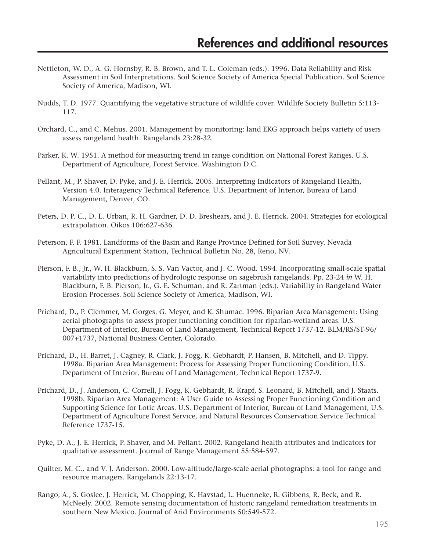- Nettleton, W. D., A. G. Hornsby, R. B. Brown, and T. L. Coleman (eds.). 1996. Data Reliability and Risk Assessment in Soil Interpretations. Soil Science Society of America Special Publication. Soil Science Society of America, Madison, WI.
- Nudds, T. D. 1977. Quantifying the vegetative structure of wildlife cover. Wildlife Society Bulletin 5:113- 117.
- Orchard, C., and C. Mehus. 2001. Management by monitoring: land EKG approach helps variety of users assess rangeland health. Rangelands 23:28-32.
- Parker, K. W. 1951. A method for measuring trend in range condition on National Forest Ranges. U.S. Department of Agriculture, Forest Service. Washington D.C.
- Pellant, M., P. Shaver, D. Pyke, and J. E. Herrick. 2005. Interpreting Indicators of Rangeland Health, Version 4.0. Interagency Technical Reference. U.S. Department of Interior, Bureau of Land Management, Denver, CO.
- Peters, D. P. C., D. L. Urban, R. H. Gardner, D. D. Breshears, and J. E. Herrick. 2004. Strategies for ecological extrapolation. Oikos 106:627-636.
- Peterson, F. F. 1981. Landforms of the Basin and Range Province Defined for Soil Survey. Nevada Agricultural Experiment Station, Technical Bulletin No. 28, Reno, NV.
- Pierson, F. B., Jr., W. H. Blackburn, S. S. Van Vactor, and J. C. Wood. 1994. Incorporating small-scale spatial variability into predictions of hydrologic response on sagebrush rangelands. Pp. 23-24 *in* W. H. Blackburn, F. B. Pierson, Jr., G. E. Schuman, and R. Zartman (eds.). Variability in Rangeland Water Erosion Processes. Soil Science Society of America, Madison, WI.
- Prichard, D., P. Clemmer, M. Gorges, G. Meyer, and K. Shumac. 1996. Riparian Area Management: Using aerial photographs to assess proper functioning condition for riparian-wetland areas. U.S. Department of Interior, Bureau of Land Management, Technical Report 1737-12. BLM/RS/ST-96/ 007+1737, National Business Center, Colorado.
- Prichard, D., H. Barret, J. Cagney, R. Clark, J. Fogg, K. Gebhardt, P. Hansen, B. Mitchell, and D. Tippy. 1998a. Riparian Area Management: Process for Assessing Proper Functioning Condition. U.S. Department of Interior, Bureau of Land Management, Technical Report 1737-9.
- Prichard, D., J. Anderson, C. Correll, J. Fogg, K. Gebhardt, R. Krapf, S. Leonard, B. Mitchell, and J. Staats. 1998b. Riparian Area Management: A User Guide to Assessing Proper Functioning Condition and Supporting Science for Lotic Areas. U.S. Department of Interior, Bureau of Land Management, U.S. Department of Agriculture Forest Service, and Natural Resources Conservation Service Technical Reference 1737-15.
- Pyke, D. A., J. E. Herrick, P. Shaver, and M. Pellant. 2002. Rangeland health attributes and indicators for qualitative assessment. Journal of Range Management 55:584-597.
- Quilter, M. C., and V. J. Anderson. 2000. Low-altitude/large-scale aerial photographs: a tool for range and resource managers. Rangelands 22:13-17.
- Rango, A., S. Goslee, J. Herrick, M. Chopping, K. Havstad, L. Huenneke, R. Gibbens, R. Beck, and R. McNeely. 2002. Remote sensing documentation of historic rangeland remediation treatments in southern New Mexico. Journal of Arid Environments 50:549-572.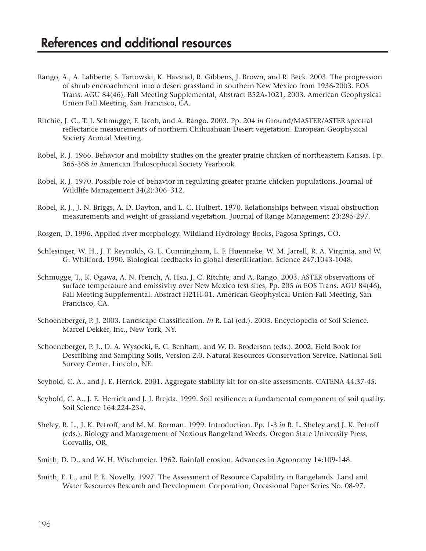- Rango, A., A. Laliberte, S. Tartowski, K. Havstad, R. Gibbens, J. Brown, and R. Beck. 2003. The progression of shrub encroachment into a desert grassland in southern New Mexico from 1936-2003. EOS Trans. AGU 84(46), Fall Meeting Supplemental, Abstract B52A-1021, 2003. American Geophysical Union Fall Meeting, San Francisco, CA.
- Ritchie, J. C., T. J. Schmugge, F. Jacob, and A. Rango. 2003. Pp. 204 *in* Ground/MASTER/ASTER spectral reflectance measurements of northern Chihuahuan Desert vegetation. European Geophysical Society Annual Meeting.
- Robel, R. J. 1966. Behavior and mobility studies on the greater prairie chicken of northeastern Kansas. Pp. 365-368 *in* American Philosophical Society Yearbook.
- Robel, R. J. 1970. Possible role of behavior in regulating greater prairie chicken populations. Journal of Wildlife Management 34(2):306–312.
- Robel, R. J., J. N. Briggs, A. D. Dayton, and L. C. Hulbert. 1970. Relationships between visual obstruction measurements and weight of grassland vegetation. Journal of Range Management 23:295-297.
- Rosgen, D. 1996. Applied river morphology. Wildland Hydrology Books, Pagosa Springs, CO.
- Schlesinger, W. H., J. F. Reynolds, G. L. Cunningham, L. F. Huenneke, W. M. Jarrell, R. A. Virginia, and W. G. Whitford. 1990. Biological feedbacks in global desertification. Science 247:1043-1048.
- Schmugge, T., K. Ogawa, A. N. French, A. Hsu, J. C. Ritchie, and A. Rango. 2003. ASTER observations of surface temperature and emissivity over New Mexico test sites, Pp. 205 *in* EOS Trans. AGU 84(46), Fall Meeting Supplemental. Abstract H21H-01. American Geophysical Union Fall Meeting, San Francisco, CA.
- Schoeneberger, P. J. 2003. Landscape Classification. *In* R. Lal (ed.). 2003. Encyclopedia of Soil Science. Marcel Dekker, Inc., New York, NY.
- Schoeneberger, P. J., D. A. Wysocki, E. C. Benham, and W. D. Broderson (eds.). 2002. Field Book for Describing and Sampling Soils, Version 2.0. Natural Resources Conservation Service, National Soil Survey Center, Lincoln, NE.
- Seybold, C. A., and J. E. Herrick. 2001. Aggregate stability kit for on-site assessments. CATENA 44:37-45.
- Seybold, C. A., J. E. Herrick and J. J. Brejda. 1999. Soil resilience: a fundamental component of soil quality. Soil Science 164:224-234.
- Sheley, R. L., J. K. Petroff, and M. M. Borman. 1999. Introduction. Pp. 1-3 *in* R. L. Sheley and J. K. Petroff (eds.). Biology and Management of Noxious Rangeland Weeds. Oregon State University Press, Corvallis, OR.
- Smith, D. D., and W. H. Wischmeier. 1962. Rainfall erosion. Advances in Agronomy 14:109-148.
- Smith, E. L., and P. E. Novelly. 1997. The Assessment of Resource Capability in Rangelands. Land and Water Resources Research and Development Corporation, Occasional Paper Series No. 08-97.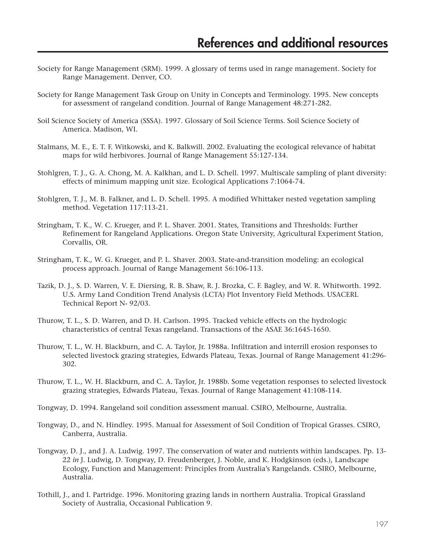- Society for Range Management (SRM). 1999. A glossary of terms used in range management. Society for Range Management. Denver, CO.
- Society for Range Management Task Group on Unity in Concepts and Terminology. 1995. New concepts for assessment of rangeland condition. Journal of Range Management 48:271-282.
- Soil Science Society of America (SSSA). 1997. Glossary of Soil Science Terms. Soil Science Society of America. Madison, WI.
- Stalmans, M. E., E. T. F. Witkowski, and K. Balkwill. 2002. Evaluating the ecological relevance of habitat maps for wild herbivores. Journal of Range Management 55:127-134.
- Stohlgren, T. J., G. A. Chong, M. A. Kalkhan, and L. D. Schell. 1997. Multiscale sampling of plant diversity: effects of minimum mapping unit size. Ecological Applications 7:1064-74.
- Stohlgren, T. J., M. B. Falkner, and L. D. Schell. 1995. A modified Whittaker nested vegetation sampling method. Vegetation 117:113-21.
- Stringham, T. K., W. C. Krueger, and P. L. Shaver. 2001. States, Transitions and Thresholds: Further Refinement for Rangeland Applications. Oregon State University, Agricultural Experiment Station, Corvallis, OR.
- Stringham, T. K., W. G. Krueger, and P. L. Shaver. 2003. State-and-transition modeling: an ecological process approach. Journal of Range Management 56:106-113.
- Tazik, D. J., S. D. Warren, V. E. Diersing, R. B. Shaw, R. J. Brozka, C. F. Bagley, and W. R. Whitworth. 1992. U.S. Army Land Condition Trend Analysis (LCTA) Plot Inventory Field Methods. USACERL Technical Report N- 92/03.
- Thurow, T. L., S. D. Warren, and D. H. Carlson. 1995. Tracked vehicle effects on the hydrologic characteristics of central Texas rangeland. Transactions of the ASAE 36:1645-1650.
- Thurow, T. L., W. H. Blackburn, and C. A. Taylor, Jr. 1988a. Infiltration and interrill erosion responses to selected livestock grazing strategies, Edwards Plateau, Texas. Journal of Range Management 41:296- 302.
- Thurow, T. L., W. H. Blackburn, and C. A. Taylor, Jr. 1988b. Some vegetation responses to selected livestock grazing strategies, Edwards Plateau, Texas. Journal of Range Management 41:108-114.
- Tongway, D. 1994. Rangeland soil condition assessment manual. CSIRO, Melbourne, Australia.
- Tongway, D., and N. Hindley. 1995. Manual for Assessment of Soil Condition of Tropical Grasses. CSIRO, Canberra, Australia.
- Tongway, D. J., and J. A. Ludwig. 1997. The conservation of water and nutrients within landscapes. Pp. 13- 22 *in* J. Ludwig, D. Tongway, D. Freudenberger, J. Noble, and K. Hodgkinson (eds.), Landscape Ecology, Function and Management: Principles from Australia's Rangelands. CSIRO, Melbourne, Australia.
- Tothill, J., and I. Partridge. 1996. Monitoring grazing lands in northern Australia. Tropical Grassland Society of Australia, Occasional Publication 9.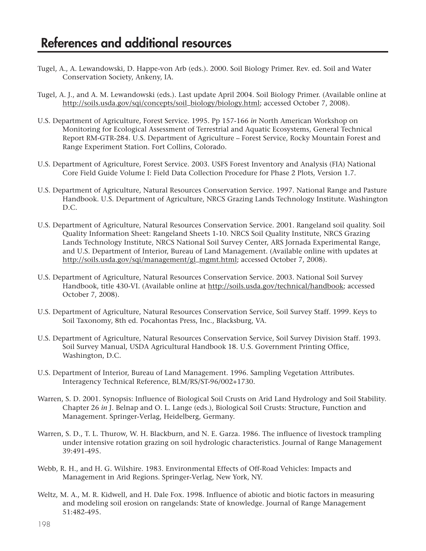- Tugel, A., A. Lewandowski, D. Happe-von Arb (eds.). 2000. Soil Biology Primer. Rev. ed. Soil and Water Conservation Society, Ankeny, IA.
- Tugel, A. J., and A. M. Lewandowski (eds.). Last update April 2004. Soil Biology Primer. (Available online at http://soils.usda.gov/sqi/concepts/soil\_biology/biology.html; accessed October 7, 2008).
- U.S. Department of Agriculture, Forest Service. 1995. Pp 157-166 *in* North American Workshop on Monitoring for Ecological Assessment of Terrestrial and Aquatic Ecosystems, General Technical Report RM-GTR-284. U.S. Department of Agriculture – Forest Service, Rocky Mountain Forest and Range Experiment Station. Fort Collins, Colorado.
- U.S. Department of Agriculture, Forest Service. 2003. USFS Forest Inventory and Analysis (FIA) National Core Field Guide Volume I: Field Data Collection Procedure for Phase 2 Plots, Version 1.7.
- U.S. Department of Agriculture, Natural Resources Conservation Service. 1997. National Range and Pasture Handbook. U.S. Department of Agriculture, NRCS Grazing Lands Technology Institute. Washington D.C.
- U.S. Department of Agriculture, Natural Resources Conservation Service. 2001. Rangeland soil quality. Soil Quality Information Sheet: Rangeland Sheets 1-10. NRCS Soil Quality Institute, NRCS Grazing Lands Technology Institute, NRCS National Soil Survey Center, ARS Jornada Experimental Range, and U.S. Department of Interior, Bureau of Land Management. (Available online with updates at http://soils.usda.gov/sqi/management/gl\_mgmt.html; accessed October 7, 2008).
- U.S. Department of Agriculture, Natural Resources Conservation Service. 2003. National Soil Survey Handbook, title 430-VI. (Available online at http://soils.usda.gov/technical/handbook; accessed October 7, 2008).
- U.S. Department of Agriculture, Natural Resources Conservation Service, Soil Survey Staff. 1999. Keys to Soil Taxonomy, 8th ed. Pocahontas Press, Inc., Blacksburg, VA.
- U.S. Department of Agriculture, Natural Resources Conservation Service, Soil Survey Division Staff. 1993. Soil Survey Manual, USDA Agricultural Handbook 18. U.S. Government Printing Office, Washington, D.C.
- U.S. Department of Interior, Bureau of Land Management. 1996. Sampling Vegetation Attributes. Interagency Technical Reference, BLM/RS/ST-96/002+1730.
- Warren, S. D. 2001. Synopsis: Influence of Biological Soil Crusts on Arid Land Hydrology and Soil Stability. Chapter 26 *in* J. Belnap and O. L. Lange (eds.), Biological Soil Crusts: Structure, Function and Management. Springer-Verlag, Heidelberg, Germany.
- Warren, S. D., T. L. Thurow, W. H. Blackburn, and N. E. Garza. 1986. The influence of livestock trampling under intensive rotation grazing on soil hydrologic characteristics. Journal of Range Management 39:491-495.
- Webb, R. H., and H. G. Wilshire. 1983. Environmental Effects of Off-Road Vehicles: Impacts and Management in Arid Regions. Springer-Verlag, New York, NY.
- Weltz, M. A., M. R. Kidwell, and H. Dale Fox. 1998. Influence of abiotic and biotic factors in measuring and modeling soil erosion on rangelands: State of knowledge. Journal of Range Management 51:482-495.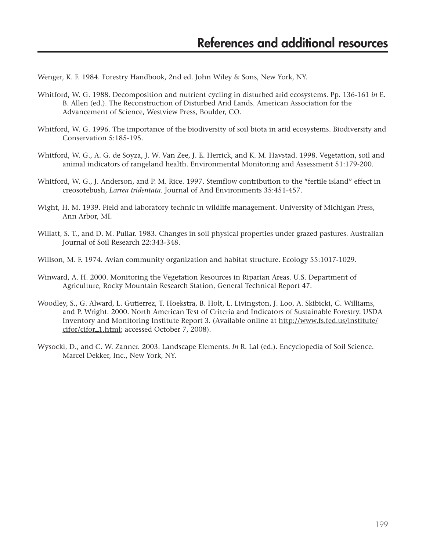Wenger, K. F. 1984. Forestry Handbook, 2nd ed. John Wiley & Sons, New York, NY.

- Whitford, W. G. 1988. Decomposition and nutrient cycling in disturbed arid ecosystems. Pp. 136-161 *in* E. B. Allen (ed.). The Reconstruction of Disturbed Arid Lands. American Association for the Advancement of Science, Westview Press, Boulder, CO.
- Whitford, W. G. 1996. The importance of the biodiversity of soil biota in arid ecosystems. Biodiversity and Conservation 5:185-195.
- Whitford, W. G., A. G. de Soyza, J. W. Van Zee, J. E. Herrick, and K. M. Havstad. 1998. Vegetation, soil and animal indicators of rangeland health. Environmental Monitoring and Assessment 51:179-200.
- Whitford, W. G., J. Anderson, and P. M. Rice. 1997. Stemflow contribution to the "fertile island" effect in creosotebush, *Larrea tridentata*. Journal of Arid Environments 35:451-457.
- Wight, H. M. 1939. Field and laboratory technic in wildlife management. University of Michigan Press, Ann Arbor, MI.
- Willatt, S. T., and D. M. Pullar. 1983. Changes in soil physical properties under grazed pastures. Australian Journal of Soil Research 22:343-348.
- Willson, M. F. 1974. Avian community organization and habitat structure. Ecology 55:1017-1029.
- Winward, A. H. 2000. Monitoring the Vegetation Resources in Riparian Areas. U.S. Department of Agriculture, Rocky Mountain Research Station, General Technical Report 47.
- Woodley, S., G. Alward, L. Gutierrez, T. Hoekstra, B. Holt, L. Livingston, J. Loo, A. Skibicki, C. Williams, and P. Wright. 2000. North American Test of Criteria and Indicators of Sustainable Forestry. USDA Inventory and Monitoring Institute Report 3. (Available online at http://www.fs.fed.us/institute/ cifor/cifor\_1.html; accessed October 7, 2008).
- Wysocki, D., and C. W. Zanner. 2003. Landscape Elements. *In* R. Lal (ed.). Encyclopedia of Soil Science. Marcel Dekker, Inc., New York, NY.